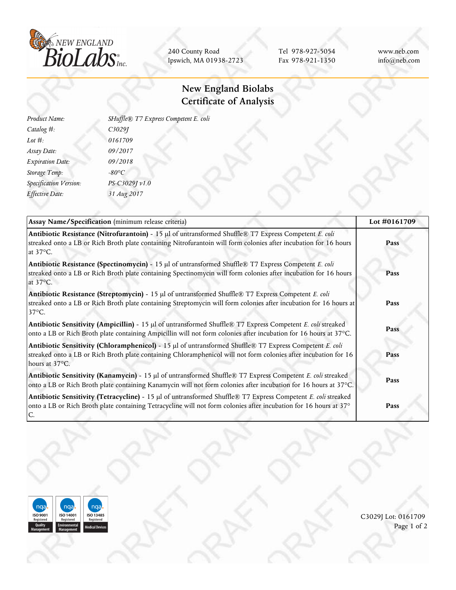

240 County Road Ipswich, MA 01938-2723

Tel 978-927-5054 Fax 978-921-1350 www.neb.com info@neb.com

## **New England Biolabs Certificate of Analysis**

| Product Name:           | SHuffle® T7 Express Competent E. coli |  |
|-------------------------|---------------------------------------|--|
| Catalog #:              | C3029J                                |  |
| Lot $#$ :               | 0161709                               |  |
| Assay Date:             | 09/2017                               |  |
| <b>Expiration Date:</b> | 09/2018                               |  |
| Storage Temp:           | $-80^{\circ}C$                        |  |
| Specification Version:  | PS-C3029J v1.0                        |  |
| Effective Date:         | 31 Aug 2017                           |  |
|                         |                                       |  |

| Assay Name/Specification (minimum release criteria)                                                                                                                                                                                           | Lot #0161709 |
|-----------------------------------------------------------------------------------------------------------------------------------------------------------------------------------------------------------------------------------------------|--------------|
| Antibiotic Resistance (Nitrofurantoin) - 15 µl of untransformed Shuffle® T7 Express Competent E. coli<br>streaked onto a LB or Rich Broth plate containing Nitrofurantoin will form colonies after incubation for 16 hours<br>at 37°C.        | Pass         |
| Antibiotic Resistance (Spectinomycin) - 15 µl of untransformed Shuffle® T7 Express Competent E. coli<br>streaked onto a LB or Rich Broth plate containing Spectinomycin will form colonies after incubation for 16 hours<br>at 37°C.          | Pass         |
| Antibiotic Resistance (Streptomycin) - 15 µl of untransformed Shuffle® T7 Express Competent E. coli<br>streaked onto a LB or Rich Broth plate containing Streptomycin will form colonies after incubation for 16 hours at<br>$37^{\circ}$ C.  | Pass         |
| Antibiotic Sensitivity (Ampicillin) - 15 µl of untransformed Shuffle® T7 Express Competent E. coli streaked<br>onto a LB or Rich Broth plate containing Ampicillin will not form colonies after incubation for 16 hours at 37°C.              | Pass         |
| Antibiotic Sensitivity (Chloramphenicol) - 15 µl of untransformed Shuffle® T7 Express Competent E. coli<br>streaked onto a LB or Rich Broth plate containing Chloramphenicol will not form colonies after incubation for 16<br>hours at 37°C. | Pass         |
| Antibiotic Sensitivity (Kanamycin) - 15 µl of untransformed Shuffle® T7 Express Competent E. coli streaked<br>onto a LB or Rich Broth plate containing Kanamycin will not form colonies after incubation for 16 hours at 37°C.                | Pass         |
| Antibiotic Sensitivity (Tetracycline) - 15 µl of untransformed Shuffle® T7 Express Competent E. coli streaked<br>onto a LB or Rich Broth plate containing Tetracycline will not form colonies after incubation for 16 hours at 37°            | Pass         |



C3029J Lot: 0161709 Page 1 of 2